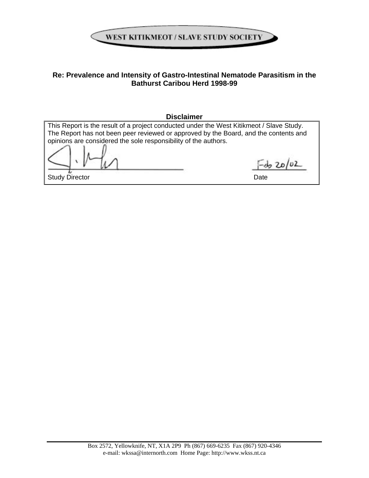

# **Re: Prevalence and Intensity of Gastro-Intestinal Nematode Parasitism in the Bathurst Caribou Herd 1998-99**

### **Disclaimer**

| This Report is the result of a project conducted under the West Kitikmeot / Slave Study. |      |  |  |  |
|------------------------------------------------------------------------------------------|------|--|--|--|
| The Report has not been peer reviewed or approved by the Board, and the contents and     |      |  |  |  |
| opinions are considered the sole responsibility of the authors.                          |      |  |  |  |
|                                                                                          |      |  |  |  |
| <b>Study Director</b>                                                                    | Date |  |  |  |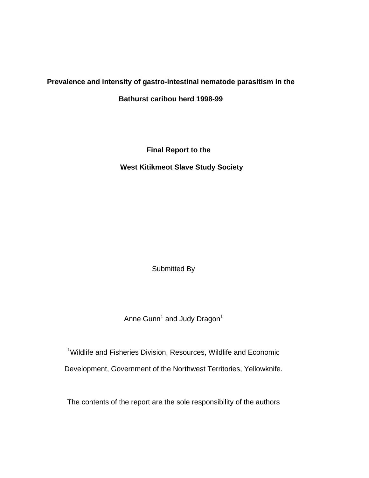# **Prevalence and intensity of gastro-intestinal nematode parasitism in the**

**Bathurst caribou herd 1998-99** 

 **Final Report to the** 

**West Kitikmeot Slave Study Society** 

Submitted By

Anne Gunn<sup>1</sup> and Judy Dragon<sup>1</sup>

<sup>1</sup>Wildlife and Fisheries Division, Resources, Wildlife and Economic Development, Government of the Northwest Territories, Yellowknife.

The contents of the report are the sole responsibility of the authors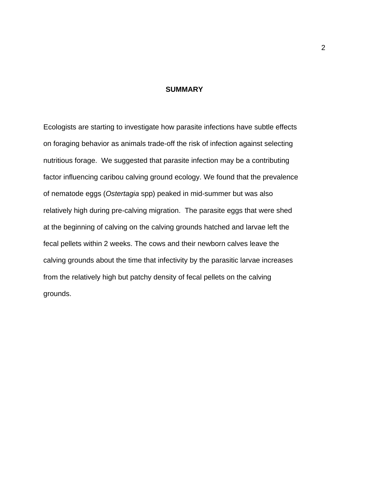#### **SUMMARY**

Ecologists are starting to investigate how parasite infections have subtle effects on foraging behavior as animals trade-off the risk of infection against selecting nutritious forage. We suggested that parasite infection may be a contributing factor influencing caribou calving ground ecology. We found that the prevalence of nematode eggs (*Ostertagia* spp) peaked in mid-summer but was also relatively high during pre-calving migration. The parasite eggs that were shed at the beginning of calving on the calving grounds hatched and larvae left the fecal pellets within 2 weeks. The cows and their newborn calves leave the calving grounds about the time that infectivity by the parasitic larvae increases from the relatively high but patchy density of fecal pellets on the calving grounds.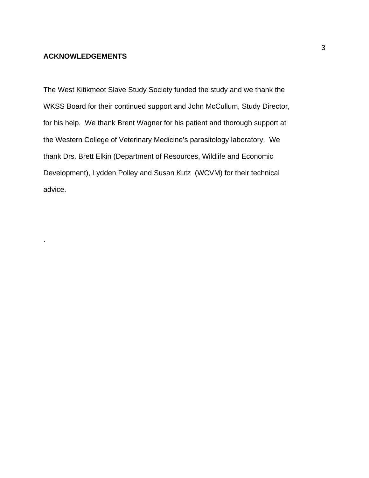### **ACKNOWLEDGEMENTS**

.

The West Kitikmeot Slave Study Society funded the study and we thank the WKSS Board for their continued support and John McCullum, Study Director, for his help. We thank Brent Wagner for his patient and thorough support at the Western College of Veterinary Medicine's parasitology laboratory. We thank Drs. Brett Elkin (Department of Resources, Wildlife and Economic Development), Lydden Polley and Susan Kutz (WCVM) for their technical advice.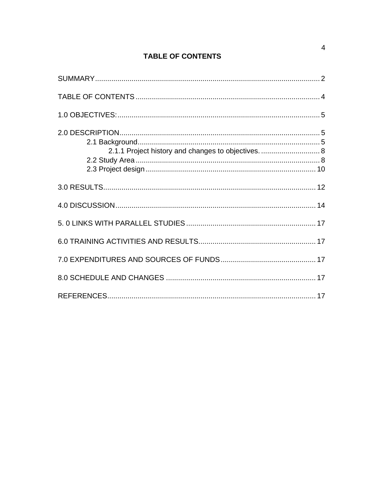# **TABLE OF CONTENTS**

| 2.1.1 Project history and changes to objectives.  8 |  |
|-----------------------------------------------------|--|
|                                                     |  |
|                                                     |  |
|                                                     |  |
|                                                     |  |
|                                                     |  |
|                                                     |  |
|                                                     |  |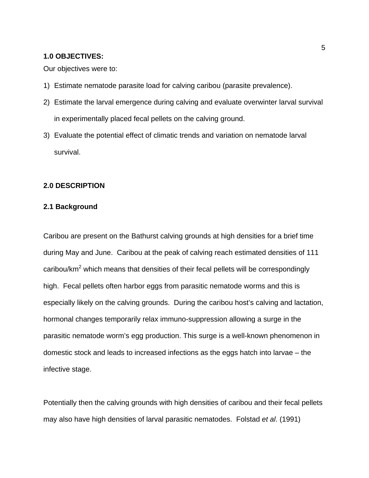#### **1.0 OBJECTIVES:**

Our objectives were to:

- 1) Estimate nematode parasite load for calving caribou (parasite prevalence).
- 2) Estimate the larval emergence during calving and evaluate overwinter larval survival in experimentally placed fecal pellets on the calving ground.
- 3) Evaluate the potential effect of climatic trends and variation on nematode larval survival.

### **2.0 DESCRIPTION**

#### **2.1 Background**

Caribou are present on the Bathurst calving grounds at high densities for a brief time during May and June. Caribou at the peak of calving reach estimated densities of 111 caribou/ $km^2$  which means that densities of their fecal pellets will be correspondingly high. Fecal pellets often harbor eggs from parasitic nematode worms and this is especially likely on the calving grounds. During the caribou host's calving and lactation, hormonal changes temporarily relax immuno-suppression allowing a surge in the parasitic nematode worm's egg production. This surge is a well-known phenomenon in domestic stock and leads to increased infections as the eggs hatch into larvae – the infective stage.

Potentially then the calving grounds with high densities of caribou and their fecal pellets may also have high densities of larval parasitic nematodes. Folstad *et al*. (1991)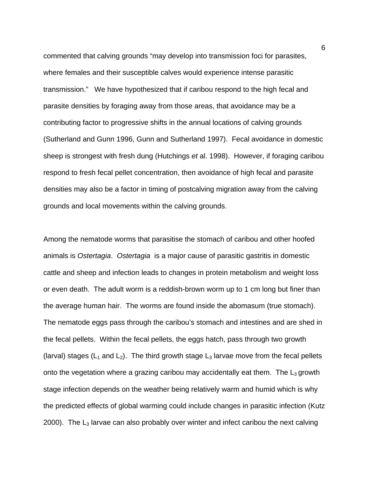commented that calving grounds "may develop into transmission foci for parasites, where females and their susceptible calves would experience intense parasitic transmission." We have hypothesized that if caribou respond to the high fecal and parasite densities by foraging away from those areas, that avoidance may be a contributing factor to progressive shifts in the annual locations of calving grounds (Sutherland and Gunn 1996, Gunn and Sutherland 1997). Fecal avoidance in domestic sheep is strongest with fresh dung (Hutchings *et* al. 1998). However, if foraging caribou respond to fresh fecal pellet concentration, then avoidance of high fecal and parasite densities may also be a factor in timing of postcalving migration away from the calving grounds and local movements within the calving grounds.

Among the nematode worms that parasitise the stomach of caribou and other hoofed animals is *Ostertagia*. *Ostertagia* is a major cause of parasitic gastritis in domestic cattle and sheep and infection leads to changes in protein metabolism and weight loss or even death. The adult worm is a reddish-brown worm up to 1 cm long but finer than the average human hair. The worms are found inside the abomasum (true stomach). The nematode eggs pass through the caribou's stomach and intestines and are shed in the fecal pellets. Within the fecal pellets, the eggs hatch, pass through two growth (larval) stages ( $L_1$  and  $L_2$ ). The third growth stage  $L_3$  larvae move from the fecal pellets onto the vegetation where a grazing caribou may accidentally eat them. The  $L_3$  growth stage infection depends on the weather being relatively warm and humid which is why the predicted effects of global warming could include changes in parasitic infection (Kutz 2000). The  $L_3$  larvae can also probably over winter and infect caribou the next calving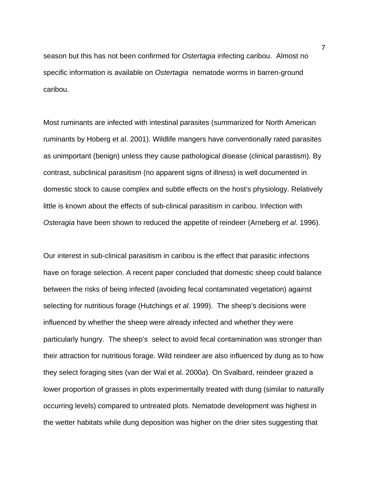season but this has not been confirmed for *Ostertagia* infecting caribou. Almost no specific information is available on *Ostertagia* nematode worms in barren-ground caribou.

Most ruminants are infected with intestinal parasites (summarized for North American ruminants by Hoberg et al. 2001). Wildlife mangers have conventionally rated parasites as unimportant (benign) unless they cause pathological disease (clinical parastism). By contrast, subclinical parasitism (no apparent signs of illness) is well documented in domestic stock to cause complex and subtle effects on the host's physiology. Relatively little is known about the effects of sub-clinical parasitism in caribou. Infection with *Osteragia* have been shown to reduced the appetite of reindeer (Arneberg *et al.* 1996).

Our interest in sub-clinical parasitism in caribou is the effect that parasitic infections have on forage selection. A recent paper concluded that domestic sheep could balance between the risks of being infected (avoiding fecal contaminated vegetation) against selecting for nutritious forage (Hutchings *et al.* 1999). The sheep's decisions were influenced by whether the sheep were already infected and whether they were particularly hungry. The sheep's select to avoid fecal contamination was stronger than their attraction for nutritious forage. Wild reindeer are also influenced by dung as to how they select foraging sites (van der Wal et al. 2000*a*). On Svalbard, reindeer grazed a lower proportion of grasses in plots experimentally treated with dung (similar to naturally occurring levels) compared to untreated plots. Nematode development was highest in the wetter habitats while dung deposition was higher on the drier sites suggesting that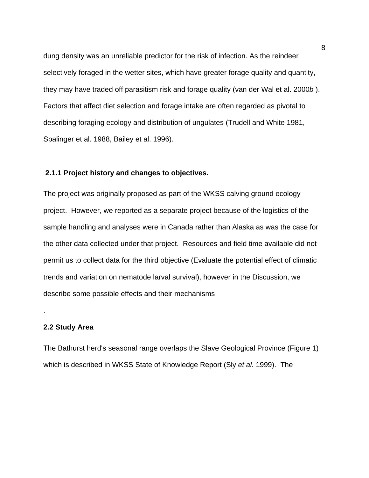dung density was an unreliable predictor for the risk of infection. As the reindeer selectively foraged in the wetter sites, which have greater forage quality and quantity, they may have traded off parasitism risk and forage quality (van der Wal et al. 2000*b* ). Factors that affect diet selection and forage intake are often regarded as pivotal to describing foraging ecology and distribution of ungulates (Trudell and White 1981, Spalinger et al. 1988, Bailey et al. 1996).

#### **2.1.1 Project history and changes to objectives.**

The project was originally proposed as part of the WKSS calving ground ecology project. However, we reported as a separate project because of the logistics of the sample handling and analyses were in Canada rather than Alaska as was the case for the other data collected under that project. Resources and field time available did not permit us to collect data for the third objective (Evaluate the potential effect of climatic trends and variation on nematode larval survival), however in the Discussion, we describe some possible effects and their mechanisms

#### **2.2 Study Area**

.

The Bathurst herd's seasonal range overlaps the Slave Geological Province (Figure 1) which is described in WKSS State of Knowledge Report (Sly *et al.* 1999). The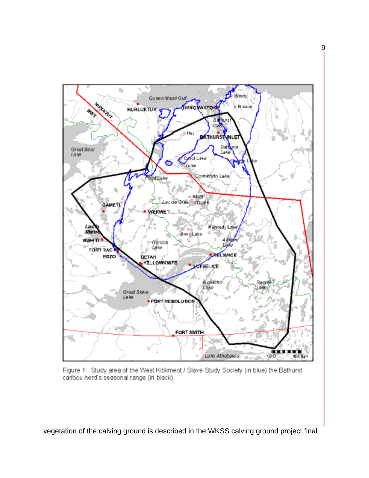

Figure 1. Study area of the West Kitikmeot / Slave Study Society (in blue) the Bathurst caribou herd's seasonal range (in black).

vegetation of the calving ground is described in the WKSS calving ground project final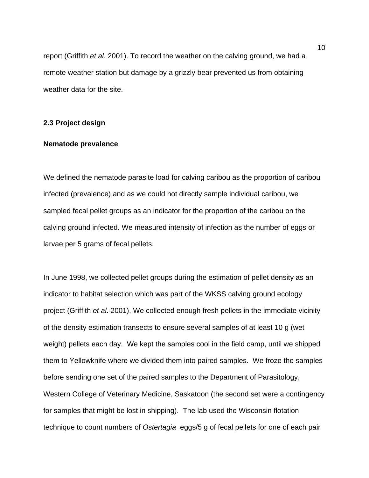report (Griffith *et al*. 2001). To record the weather on the calving ground, we had a remote weather station but damage by a grizzly bear prevented us from obtaining weather data for the site.

#### **2.3 Project design**

### **Nematode prevalence**

We defined the nematode parasite load for calving caribou as the proportion of caribou infected (prevalence) and as we could not directly sample individual caribou, we sampled fecal pellet groups as an indicator for the proportion of the caribou on the calving ground infected. We measured intensity of infection as the number of eggs or larvae per 5 grams of fecal pellets.

In June 1998, we collected pellet groups during the estimation of pellet density as an indicator to habitat selection which was part of the WKSS calving ground ecology project (Griffith *et al*. 2001). We collected enough fresh pellets in the immediate vicinity of the density estimation transects to ensure several samples of at least 10 g (wet weight) pellets each day. We kept the samples cool in the field camp, until we shipped them to Yellowknife where we divided them into paired samples. We froze the samples before sending one set of the paired samples to the Department of Parasitology, Western College of Veterinary Medicine, Saskatoon (the second set were a contingency for samples that might be lost in shipping). The lab used the Wisconsin flotation technique to count numbers of *Ostertagia* eggs/5 g of fecal pellets for one of each pair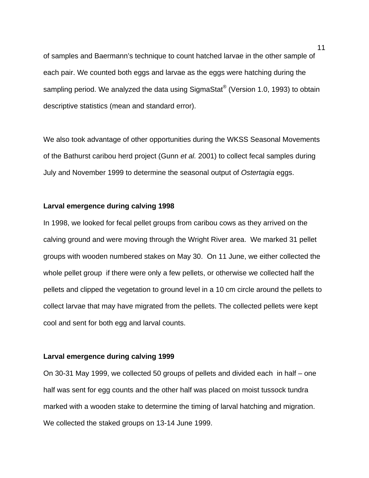of samples and Baermann's technique to count hatched larvae in the other sample of each pair. We counted both eggs and larvae as the eggs were hatching during the sampling period. We analyzed the data using SigmaStat<sup>®</sup> (Version 1.0, 1993) to obtain descriptive statistics (mean and standard error).

We also took advantage of other opportunities during the WKSS Seasonal Movements of the Bathurst caribou herd project (Gunn *et al.* 2001) to collect fecal samples during July and November 1999 to determine the seasonal output of *Ostertagia* eggs.

### **Larval emergence during calving 1998**

In 1998, we looked for fecal pellet groups from caribou cows as they arrived on the calving ground and were moving through the Wright River area. We marked 31 pellet groups with wooden numbered stakes on May 30. On 11 June, we either collected the whole pellet group if there were only a few pellets, or otherwise we collected half the pellets and clipped the vegetation to ground level in a 10 cm circle around the pellets to collect larvae that may have migrated from the pellets. The collected pellets were kept cool and sent for both egg and larval counts.

#### **Larval emergence during calving 1999**

On 30-31 May 1999, we collected 50 groups of pellets and divided each in half – one half was sent for egg counts and the other half was placed on moist tussock tundra marked with a wooden stake to determine the timing of larval hatching and migration. We collected the staked groups on 13-14 June 1999.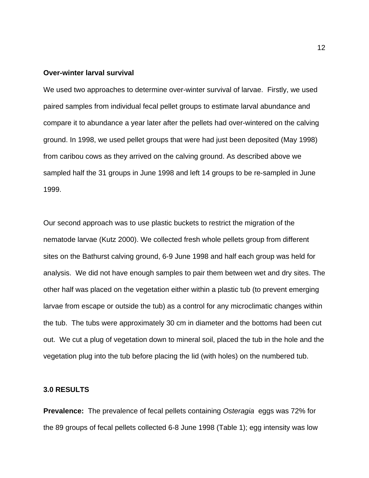#### **Over-winter larval survival**

We used two approaches to determine over-winter survival of larvae. Firstly, we used paired samples from individual fecal pellet groups to estimate larval abundance and compare it to abundance a year later after the pellets had over-wintered on the calving ground. In 1998, we used pellet groups that were had just been deposited (May 1998) from caribou cows as they arrived on the calving ground. As described above we sampled half the 31 groups in June 1998 and left 14 groups to be re-sampled in June 1999.

Our second approach was to use plastic buckets to restrict the migration of the nematode larvae (Kutz 2000). We collected fresh whole pellets group from different sites on the Bathurst calving ground, 6-9 June 1998 and half each group was held for analysis. We did not have enough samples to pair them between wet and dry sites. The other half was placed on the vegetation either within a plastic tub (to prevent emerging larvae from escape or outside the tub) as a control for any microclimatic changes within the tub. The tubs were approximately 30 cm in diameter and the bottoms had been cut out. We cut a plug of vegetation down to mineral soil, placed the tub in the hole and the vegetation plug into the tub before placing the lid (with holes) on the numbered tub.

### **3.0 RESULTS**

**Prevalence:** The prevalence of fecal pellets containing *Osteragia* eggs was 72% for the 89 groups of fecal pellets collected 6-8 June 1998 (Table 1); egg intensity was low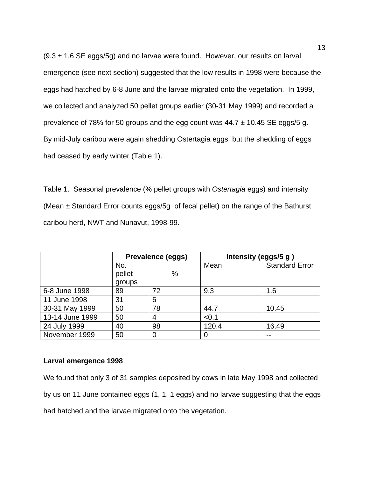$(9.3 \pm 1.6 \text{ SE eggs}/5g)$  and no larvae were found. However, our results on larval emergence (see next section) suggested that the low results in 1998 were because the eggs had hatched by 6-8 June and the larvae migrated onto the vegetation. In 1999, we collected and analyzed 50 pellet groups earlier (30-31 May 1999) and recorded a prevalence of 78% for 50 groups and the egg count was  $44.7 \pm 10.45$  SE eggs/5 g. By mid-July caribou were again shedding Ostertagia eggs but the shedding of eggs had ceased by early winter (Table 1).

Table 1. Seasonal prevalence (% pellet groups with *Ostertagia* eggs) and intensity (Mean  $\pm$  Standard Error counts eggs/5g of fecal pellet) on the range of the Bathurst caribou herd, NWT and Nunavut, 1998-99.

|                 | Prevalence (eggs) |    | Intensity (eggs/5 g) |                       |
|-----------------|-------------------|----|----------------------|-----------------------|
|                 | No.               |    | Mean                 | <b>Standard Error</b> |
|                 | pellet            | %  |                      |                       |
|                 | groups            |    |                      |                       |
| 6-8 June 1998   | 89                | 72 | 9.3                  | 1.6                   |
| 11 June 1998    | 31                | 6  |                      |                       |
| 30-31 May 1999  | 50                | 78 | 44.7                 | 10.45                 |
| 13-14 June 1999 | 50                | 4  | < 0.1                |                       |
| 24 July 1999    | 40                | 98 | 120.4                | 16.49                 |
| November 1999   | 50                | 0  | 0                    |                       |

### **Larval emergence 1998**

We found that only 3 of 31 samples deposited by cows in late May 1998 and collected by us on 11 June contained eggs (1, 1, 1 eggs) and no larvae suggesting that the eggs had hatched and the larvae migrated onto the vegetation.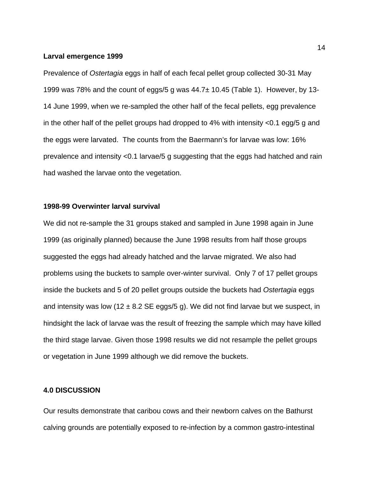#### **Larval emergence 1999**

Prevalence of *Ostertagia* eggs in half of each fecal pellet group collected 30-31 May 1999 was 78% and the count of eggs/5 g was 44.7± 10.45 (Table 1). However, by 13- 14 June 1999, when we re-sampled the other half of the fecal pellets, egg prevalence in the other half of the pellet groups had dropped to 4% with intensity <0.1 egg/5 g and the eggs were larvated. The counts from the Baermann's for larvae was low: 16% prevalence and intensity <0.1 larvae/5 g suggesting that the eggs had hatched and rain had washed the larvae onto the vegetation.

### **1998-99 Overwinter larval survival**

We did not re-sample the 31 groups staked and sampled in June 1998 again in June 1999 (as originally planned) because the June 1998 results from half those groups suggested the eggs had already hatched and the larvae migrated. We also had problems using the buckets to sample over-winter survival. Only 7 of 17 pellet groups inside the buckets and 5 of 20 pellet groups outside the buckets had *Ostertagia* eggs and intensity was low (12  $\pm$  8.2 SE eggs/5 g). We did not find larvae but we suspect, in hindsight the lack of larvae was the result of freezing the sample which may have killed the third stage larvae. Given those 1998 results we did not resample the pellet groups or vegetation in June 1999 although we did remove the buckets.

### **4.0 DISCUSSION**

Our results demonstrate that caribou cows and their newborn calves on the Bathurst calving grounds are potentially exposed to re-infection by a common gastro-intestinal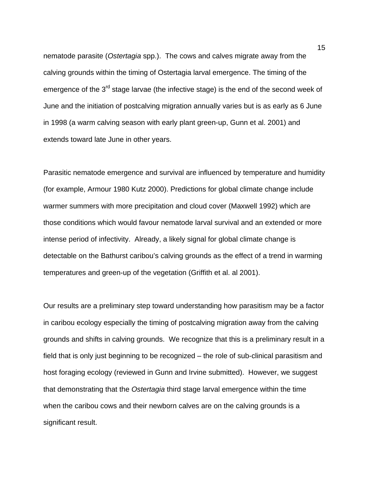nematode parasite (*Ostertagia* spp.). The cows and calves migrate away from the calving grounds within the timing of Ostertagia larval emergence. The timing of the emergence of the 3<sup>rd</sup> stage larvae (the infective stage) is the end of the second week of June and the initiation of postcalving migration annually varies but is as early as 6 June in 1998 (a warm calving season with early plant green-up, Gunn et al. 2001) and extends toward late June in other years.

Parasitic nematode emergence and survival are influenced by temperature and humidity (for example, Armour 1980 Kutz 2000). Predictions for global climate change include warmer summers with more precipitation and cloud cover (Maxwell 1992) which are those conditions which would favour nematode larval survival and an extended or more intense period of infectivity. Already, a likely signal for global climate change is detectable on the Bathurst caribou's calving grounds as the effect of a trend in warming temperatures and green-up of the vegetation (Griffith et al. al 2001).

Our results are a preliminary step toward understanding how parasitism may be a factor in caribou ecology especially the timing of postcalving migration away from the calving grounds and shifts in calving grounds. We recognize that this is a preliminary result in a field that is only just beginning to be recognized – the role of sub-clinical parasitism and host foraging ecology (reviewed in Gunn and Irvine submitted). However, we suggest that demonstrating that the *Ostertagia* third stage larval emergence within the time when the caribou cows and their newborn calves are on the calving grounds is a significant result.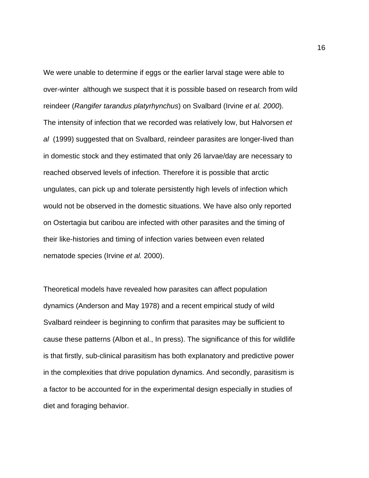We were unable to determine if eggs or the earlier larval stage were able to over-winter although we suspect that it is possible based on research from wild reindeer (*Rangifer tarandus platyrhynchus*) on Svalbard (Irvine *et al. 2000*). The intensity of infection that we recorded was relatively low, but Halvorsen *et al* (1999) suggested that on Svalbard, reindeer parasites are longer-lived than in domestic stock and they estimated that only 26 larvae/day are necessary to reached observed levels of infection. Therefore it is possible that arctic ungulates, can pick up and tolerate persistently high levels of infection which would not be observed in the domestic situations. We have also only reported on Ostertagia but caribou are infected with other parasites and the timing of their like-histories and timing of infection varies between even related nematode species (Irvine *et al.* 2000).

Theoretical models have revealed how parasites can affect population dynamics (Anderson and May 1978) and a recent empirical study of wild Svalbard reindeer is beginning to confirm that parasites may be sufficient to cause these patterns (Albon et al., In press). The significance of this for wildlife is that firstly, sub-clinical parasitism has both explanatory and predictive power in the complexities that drive population dynamics. And secondly, parasitism is a factor to be accounted for in the experimental design especially in studies of diet and foraging behavior.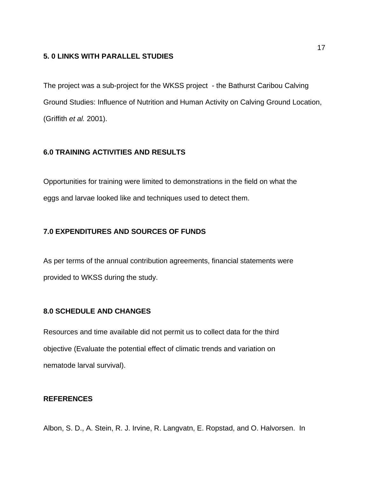### **5. 0 LINKS WITH PARALLEL STUDIES**

The project was a sub-project for the WKSS project - the Bathurst Caribou Calving Ground Studies: Influence of Nutrition and Human Activity on Calving Ground Location, (Griffith *et al.* 2001).

## **6.0 TRAINING ACTIVITIES AND RESULTS**

Opportunities for training were limited to demonstrations in the field on what the eggs and larvae looked like and techniques used to detect them.

# **7.0 EXPENDITURES AND SOURCES OF FUNDS**

As per terms of the annual contribution agreements, financial statements were provided to WKSS during the study.

# **8.0 SCHEDULE AND CHANGES**

Resources and time available did not permit us to collect data for the third objective (Evaluate the potential effect of climatic trends and variation on nematode larval survival).

## **REFERENCES**

Albon, S. D., A. Stein, R. J. Irvine, R. Langvatn, E. Ropstad, and O. Halvorsen. In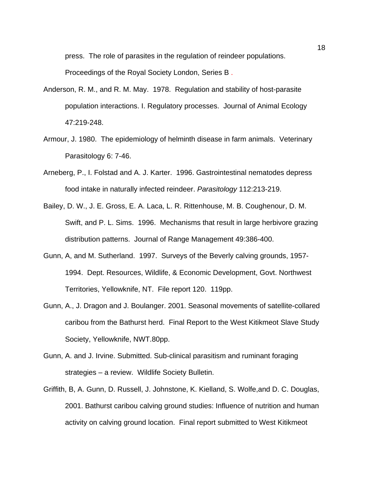press. The role of parasites in the regulation of reindeer populations. Proceedings of the Royal Society London, Series B .

- Anderson, R. M., and R. M. May. 1978. Regulation and stability of host-parasite population interactions. I. Regulatory processes. Journal of Animal Ecology 47:219-248.
- Armour, J. 1980. The epidemiology of helminth disease in farm animals. Veterinary Parasitology 6: 7-46.
- Arneberg, P., I. Folstad and A. J. Karter. 1996. Gastrointestinal nematodes depress food intake in naturally infected reindeer. *Parasitology* 112:213-219.
- Bailey, D. W., J. E. Gross, E. A. Laca, L. R. Rittenhouse, M. B. Coughenour, D. M. Swift, and P. L. Sims. 1996. Mechanisms that result in large herbivore grazing distribution patterns. Journal of Range Management 49:386-400.
- Gunn, A, and M. Sutherland. 1997. Surveys of the Beverly calving grounds, 1957- 1994. Dept. Resources, Wildlife, & Economic Development, Govt. Northwest Territories, Yellowknife, NT. File report 120. 119pp.
- Gunn, A., J. Dragon and J. Boulanger. 2001. Seasonal movements of satellite-collared caribou from the Bathurst herd. Final Report to the West Kitikmeot Slave Study Society, Yellowknife, NWT.80pp.
- Gunn, A. and J. Irvine. Submitted. Sub-clinical parasitism and ruminant foraging strategies – a review. Wildlife Society Bulletin.
- Griffith, B, A. Gunn, D. Russell, J. Johnstone, K. Kielland, S. Wolfe,and D. C. Douglas, 2001. Bathurst caribou calving ground studies: Influence of nutrition and human activity on calving ground location. Final report submitted to West Kitikmeot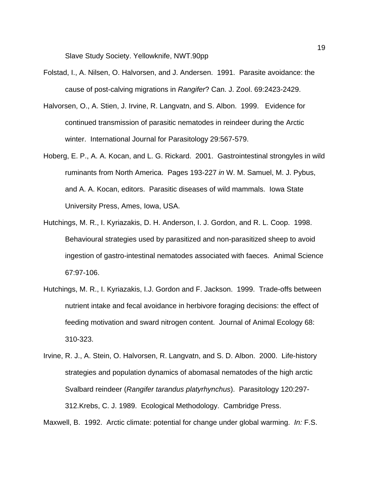Slave Study Society. Yellowknife, NWT.90pp

- Folstad, I., A. Nilsen, O. Halvorsen, and J. Andersen. 1991. Parasite avoidance: the cause of post-calving migrations in *Rangifer*? Can. J. Zool. 69:2423-2429.
- Halvorsen, O., A. Stien, J. Irvine, R. Langvatn, and S. Albon. 1999. Evidence for continued transmission of parasitic nematodes in reindeer during the Arctic winter. International Journal for Parasitology 29:567-579.
- Hoberg, E. P., A. A. Kocan, and L. G. Rickard. 2001. Gastrointestinal strongyles in wild ruminants from North America. Pages 193-227 *in* W. M. Samuel, M. J. Pybus, and A. A. Kocan, editors. Parasitic diseases of wild mammals. Iowa State University Press, Ames, Iowa, USA.
- Hutchings, M. R., I. Kyriazakis, D. H. Anderson, I. J. Gordon, and R. L. Coop. 1998. Behavioural strategies used by parasitized and non-parasitized sheep to avoid ingestion of gastro-intestinal nematodes associated with faeces. Animal Science 67:97-106.
- Hutchings, M. R., I. Kyriazakis, I.J. Gordon and F. Jackson. 1999. Trade-offs between nutrient intake and fecal avoidance in herbivore foraging decisions: the effect of feeding motivation and sward nitrogen content. Journal of Animal Ecology 68: 310-323.
- Irvine, R. J., A. Stein, O. Halvorsen, R. Langvatn, and S. D. Albon. 2000. Life-history strategies and population dynamics of abomasal nematodes of the high arctic Svalbard reindeer (*Rangifer tarandus platyrhynchus*). Parasitology 120:297- 312.Krebs, C. J. 1989. Ecological Methodology. Cambridge Press.

Maxwell, B. 1992. Arctic climate: potential for change under global warming. *In:* F.S.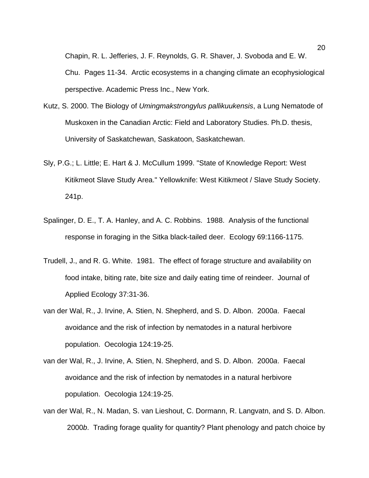Chapin, R. L. Jefferies, J. F. Reynolds, G. R. Shaver, J. Svoboda and E. W. Chu. Pages 11-34. Arctic ecosystems in a changing climate an ecophysiological perspective. Academic Press Inc., New York.

- Kutz, S. 2000. The Biology of *Umingmakstrongylus pallikuukensis*, a Lung Nematode of Muskoxen in the Canadian Arctic: Field and Laboratory Studies. Ph.D. thesis, University of Saskatchewan, Saskatoon, Saskatchewan.
- Sly, P.G.; L. Little; E. Hart & J. McCullum 1999. "State of Knowledge Report: West Kitikmeot Slave Study Area." Yellowknife: West Kitikmeot / Slave Study Society. 241p.
- Spalinger, D. E., T. A. Hanley, and A. C. Robbins. 1988. Analysis of the functional response in foraging in the Sitka black-tailed deer. Ecology 69:1166-1175.
- Trudell, J., and R. G. White. 1981. The effect of forage structure and availability on food intake, biting rate, bite size and daily eating time of reindeer. Journal of Applied Ecology 37:31-36.
- van der Wal, R., J. Irvine, A. Stien, N. Shepherd, and S. D. Albon. 2000*a*. Faecal avoidance and the risk of infection by nematodes in a natural herbivore population. Oecologia 124:19-25.
- van der Wal, R., J. Irvine, A. Stien, N. Shepherd, and S. D. Albon. 2000*a*. Faecal avoidance and the risk of infection by nematodes in a natural herbivore population. Oecologia 124:19-25.
- van der Wal, R., N. Madan, S. van Lieshout, C. Dormann, R. Langvatn, and S. D. Albon. 2000*b*. Trading forage quality for quantity? Plant phenology and patch choice by